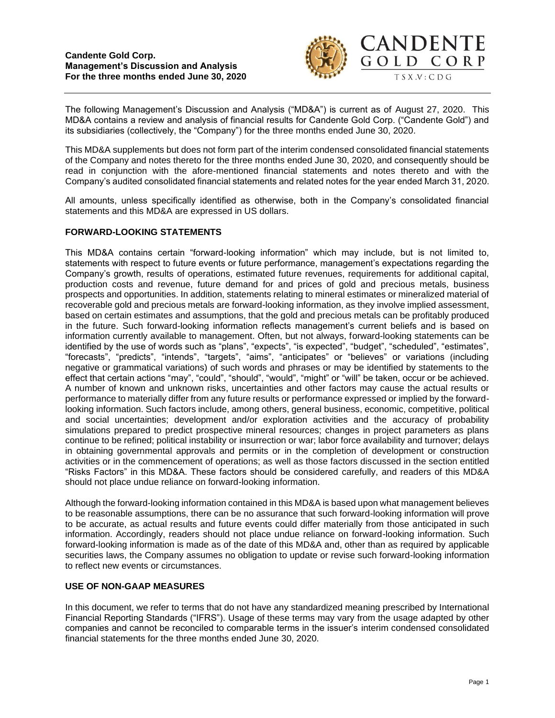

The following Management's Discussion and Analysis ("MD&A") is current as of August 27, 2020. This MD&A contains a review and analysis of financial results for Candente Gold Corp. ("Candente Gold") and its subsidiaries (collectively, the "Company") for the three months ended June 30, 2020.

This MD&A supplements but does not form part of the interim condensed consolidated financial statements of the Company and notes thereto for the three months ended June 30, 2020, and consequently should be read in conjunction with the afore-mentioned financial statements and notes thereto and with the Company's audited consolidated financial statements and related notes for the year ended March 31, 2020.

All amounts, unless specifically identified as otherwise, both in the Company's consolidated financial statements and this MD&A are expressed in US dollars.

## **FORWARD-LOOKING STATEMENTS**

This MD&A contains certain "forward-looking information" which may include, but is not limited to, statements with respect to future events or future performance, management's expectations regarding the Company's growth, results of operations, estimated future revenues, requirements for additional capital, production costs and revenue, future demand for and prices of gold and precious metals, business prospects and opportunities. In addition, statements relating to mineral estimates or mineralized material of recoverable gold and precious metals are forward-looking information, as they involve implied assessment, based on certain estimates and assumptions, that the gold and precious metals can be profitably produced in the future. Such forward-looking information reflects management's current beliefs and is based on information currently available to management. Often, but not always, forward-looking statements can be identified by the use of words such as "plans", "expects", "is expected", "budget", "scheduled", "estimates", "forecasts", "predicts", "intends", "targets", "aims", "anticipates" or "believes" or variations (including negative or grammatical variations) of such words and phrases or may be identified by statements to the effect that certain actions "may", "could", "should", "would", "might" or "will" be taken, occur or be achieved. A number of known and unknown risks, uncertainties and other factors may cause the actual results or performance to materially differ from any future results or performance expressed or implied by the forwardlooking information. Such factors include, among others, general business, economic, competitive, political and social uncertainties; development and/or exploration activities and the accuracy of probability simulations prepared to predict prospective mineral resources; changes in project parameters as plans continue to be refined; political instability or insurrection or war; labor force availability and turnover; delays in obtaining governmental approvals and permits or in the completion of development or construction activities or in the commencement of operations; as well as those factors discussed in the section entitled "Risks Factors" in this MD&A. These factors should be considered carefully, and readers of this MD&A should not place undue reliance on forward-looking information.

Although the forward-looking information contained in this MD&A is based upon what management believes to be reasonable assumptions, there can be no assurance that such forward-looking information will prove to be accurate, as actual results and future events could differ materially from those anticipated in such information. Accordingly, readers should not place undue reliance on forward-looking information. Such forward-looking information is made as of the date of this MD&A and, other than as required by applicable securities laws, the Company assumes no obligation to update or revise such forward-looking information to reflect new events or circumstances.

### **USE OF NON-GAAP MEASURES**

In this document, we refer to terms that do not have any standardized meaning prescribed by International Financial Reporting Standards ("IFRS"). Usage of these terms may vary from the usage adapted by other companies and cannot be reconciled to comparable terms in the issuer's interim condensed consolidated financial statements for the three months ended June 30, 2020.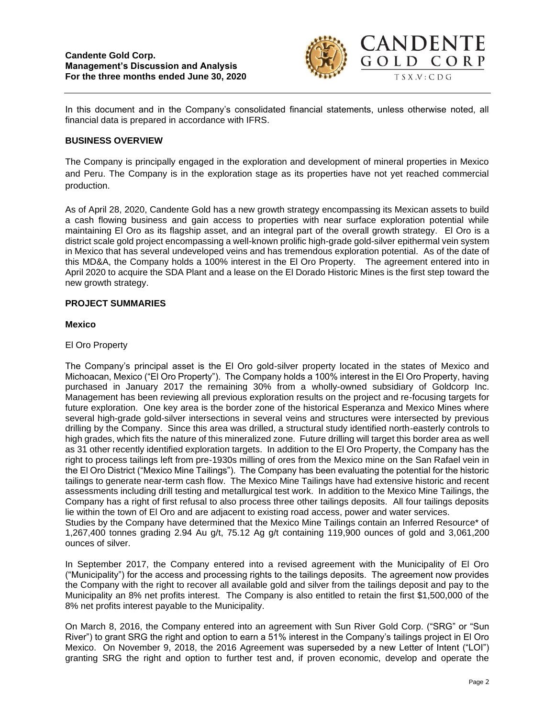

In this document and in the Company's consolidated financial statements, unless otherwise noted, all financial data is prepared in accordance with IFRS.

### **BUSINESS OVERVIEW**

The Company is principally engaged in the exploration and development of mineral properties in Mexico and Peru. The Company is in the exploration stage as its properties have not yet reached commercial production.

As of April 28, 2020, Candente Gold has a new growth strategy encompassing its Mexican assets to build a cash flowing business and gain access to properties with near surface exploration potential while maintaining El Oro as its flagship asset, and an integral part of the overall growth strategy. El Oro is a district scale gold project encompassing a well-known prolific high-grade gold-silver epithermal vein system in Mexico that has several undeveloped veins and has tremendous exploration potential. As of the date of this MD&A, the Company holds a 100% interest in the El Oro Property. The agreement entered into in April 2020 to acquire the SDA Plant and a lease on the El Dorado Historic Mines is the first step toward the new growth strategy.

### **PROJECT SUMMARIES**

## **Mexico**

## El Oro Property

The Company's principal asset is the El Oro gold-silver property located in the states of Mexico and Michoacan, Mexico ("El Oro Property"). The Company holds a 100% interest in the El Oro Property, having purchased in January 2017 the remaining 30% from a wholly-owned subsidiary of Goldcorp Inc. Management has been reviewing all previous exploration results on the project and re-focusing targets for future exploration. One key area is the border zone of the historical Esperanza and Mexico Mines where several high-grade gold-silver intersections in several veins and structures were intersected by previous drilling by the Company. Since this area was drilled, a structural study identified north-easterly controls to high grades, which fits the nature of this mineralized zone. Future drilling will target this border area as well as 31 other recently identified exploration targets. In addition to the El Oro Property, the Company has the right to process tailings left from pre-1930s milling of ores from the Mexico mine on the San Rafael vein in the El Oro District ("Mexico Mine Tailings"). The Company has been evaluating the potential for the historic tailings to generate near-term cash flow. The Mexico Mine Tailings have had extensive historic and recent assessments including drill testing and metallurgical test work. In addition to the Mexico Mine Tailings, the Company has a right of first refusal to also process three other tailings deposits. All four tailings deposits lie within the town of El Oro and are adjacent to existing road access, power and water services.

Studies by the Company have determined that the Mexico Mine Tailings contain an Inferred Resource\* of 1,267,400 tonnes grading 2.94 Au g/t, 75.12 Ag g/t containing 119,900 ounces of gold and 3,061,200 ounces of silver.

In September 2017, the Company entered into a revised agreement with the Municipality of El Oro ("Municipality") for the access and processing rights to the tailings deposits. The agreement now provides the Company with the right to recover all available gold and silver from the tailings deposit and pay to the Municipality an 8% net profits interest. The Company is also entitled to retain the first \$1,500,000 of the 8% net profits interest payable to the Municipality.

On March 8, 2016, the Company entered into an agreement with Sun River Gold Corp. ("SRG" or "Sun River") to grant SRG the right and option to earn a 51% interest in the Company's tailings project in El Oro Mexico. On November 9, 2018, the 2016 Agreement was superseded by a new Letter of Intent ("LOI") granting SRG the right and option to further test and, if proven economic, develop and operate the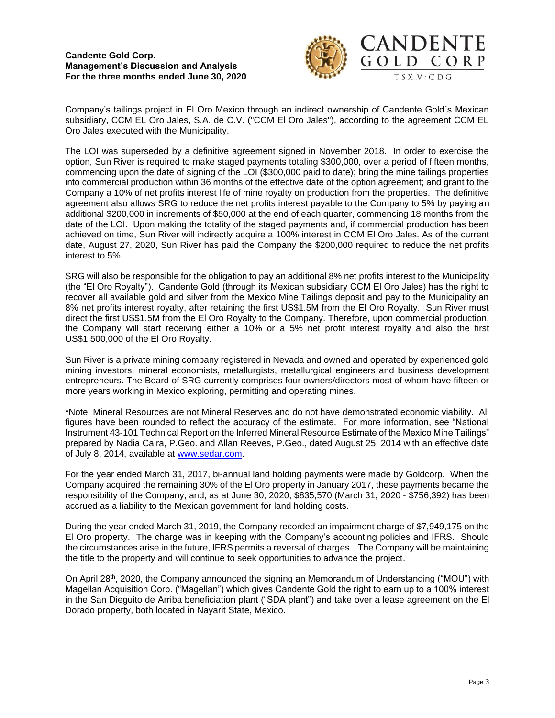

CORP

Company's tailings project in El Oro Mexico through an indirect ownership of Candente Gold´s Mexican subsidiary, CCM EL Oro Jales, S.A. de C.V. ("CCM El Oro Jales"), according to the agreement CCM EL Oro Jales executed with the Municipality.

The LOI was superseded by a definitive agreement signed in November 2018. In order to exercise the option, Sun River is required to make staged payments totaling \$300,000, over a period of fifteen months, commencing upon the date of signing of the LOI (\$300,000 paid to date); bring the mine tailings properties into commercial production within 36 months of the effective date of the option agreement; and grant to the Company a 10% of net profits interest life of mine royalty on production from the properties. The definitive agreement also allows SRG to reduce the net profits interest payable to the Company to 5% by paying an additional \$200,000 in increments of \$50,000 at the end of each quarter, commencing 18 months from the date of the LOI. Upon making the totality of the staged payments and, if commercial production has been achieved on time, Sun River will indirectly acquire a 100% interest in CCM El Oro Jales. As of the current date, August 27, 2020, Sun River has paid the Company the \$200,000 required to reduce the net profits interest to 5%.

SRG will also be responsible for the obligation to pay an additional 8% net profits interest to the Municipality (the "El Oro Royalty"). Candente Gold (through its Mexican subsidiary CCM El Oro Jales) has the right to recover all available gold and silver from the Mexico Mine Tailings deposit and pay to the Municipality an 8% net profits interest royalty, after retaining the first US\$1.5M from the El Oro Royalty. Sun River must direct the first US\$1.5M from the El Oro Royalty to the Company. Therefore, upon commercial production, the Company will start receiving either a 10% or a 5% net profit interest royalty and also the first US\$1,500,000 of the El Oro Royalty.

Sun River is a private mining company registered in Nevada and owned and operated by experienced gold mining investors, mineral economists, metallurgists, metallurgical engineers and business development entrepreneurs. The Board of SRG currently comprises four owners/directors most of whom have fifteen or more years working in Mexico exploring, permitting and operating mines.

\*Note: Mineral Resources are not Mineral Reserves and do not have demonstrated economic viability. All figures have been rounded to reflect the accuracy of the estimate. For more information, see "National Instrument 43-101 Technical Report on the Inferred Mineral Resource Estimate of the Mexico Mine Tailings" prepared by Nadia Caira, P.Geo. and Allan Reeves, P.Geo., dated August 25, 2014 with an effective date of July 8, 2014, available at [www.sedar.com.](http://www.sedar.com/)

For the year ended March 31, 2017, bi-annual land holding payments were made by Goldcorp. When the Company acquired the remaining 30% of the El Oro property in January 2017, these payments became the responsibility of the Company, and, as at June 30, 2020, \$835,570 (March 31, 2020 - \$756,392) has been accrued as a liability to the Mexican government for land holding costs.

During the year ended March 31, 2019, the Company recorded an impairment charge of \$7,949,175 on the El Oro property. The charge was in keeping with the Company's accounting policies and IFRS. Should the circumstances arise in the future, IFRS permits a reversal of charges. The Company will be maintaining the title to the property and will continue to seek opportunities to advance the project.

On April 28th, 2020, the Company announced the signing an Memorandum of Understanding ("MOU") with Magellan Acquisition Corp. ("Magellan") which gives Candente Gold the right to earn up to a 100% interest in the San Dieguito de Arriba beneficiation plant ("SDA plant") and take over a lease agreement on the El Dorado property, both located in Nayarit State, Mexico.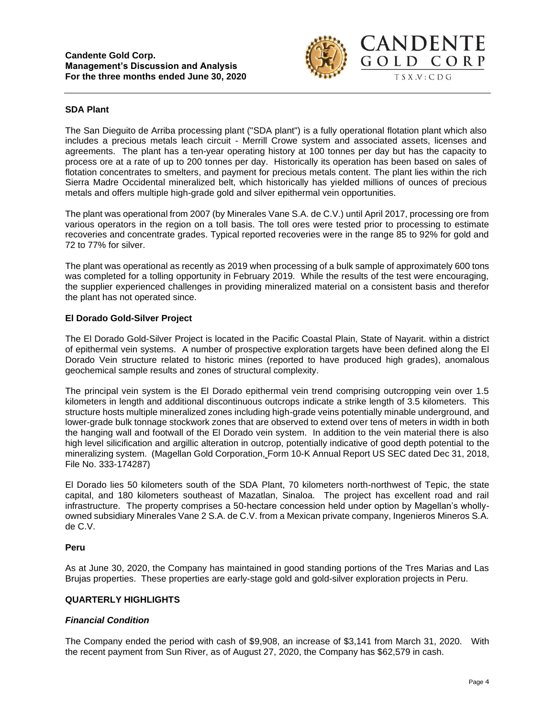

## **SDA Plant**

The San Dieguito de Arriba processing plant ("SDA plant") is a fully operational flotation plant which also includes a precious metals leach circuit - Merrill Crowe system and associated assets, licenses and agreements. The plant has a ten-year operating history at 100 tonnes per day but has the capacity to process ore at a rate of up to 200 tonnes per day. Historically its operation has been based on sales of flotation concentrates to smelters, and payment for precious metals content. The plant lies within the rich Sierra Madre Occidental mineralized belt, which historically has yielded millions of ounces of precious metals and offers multiple high-grade gold and silver epithermal vein opportunities.

The plant was operational from 2007 (by Minerales Vane S.A. de C.V.) until April 2017, processing ore from various operators in the region on a toll basis. The toll ores were tested prior to processing to estimate recoveries and concentrate grades. Typical reported recoveries were in the range 85 to 92% for gold and 72 to 77% for silver.

The plant was operational as recently as 2019 when processing of a bulk sample of approximately 600 tons was completed for a tolling opportunity in February 2019. While the results of the test were encouraging, the supplier experienced challenges in providing mineralized material on a consistent basis and therefor the plant has not operated since.

### **El Dorado Gold-Silver Project**

The El Dorado Gold-Silver Project is located in the Pacific Coastal Plain, State of Nayarit. within a district of epithermal vein systems. A number of prospective exploration targets have been defined along the El Dorado Vein structure related to historic mines (reported to have produced high grades), anomalous geochemical sample results and zones of structural complexity.

The principal vein system is the El Dorado epithermal vein trend comprising outcropping vein over 1.5 kilometers in length and additional discontinuous outcrops indicate a strike length of 3.5 kilometers. This structure hosts multiple mineralized zones including high-grade veins potentially minable underground, and lower-grade bulk tonnage stockwork zones that are observed to extend over tens of meters in width in both the hanging wall and footwall of the El Dorado vein system. In addition to the vein material there is also high level silicification and argillic alteration in outcrop, potentially indicative of good depth potential to the mineralizing system. (Magellan Gold Corporation, Form 10-K Annual Report US SEC dated Dec 31, 2018, File No. 333-174287)

El Dorado lies 50 kilometers south of the SDA Plant, 70 kilometers north-northwest of Tepic, the state capital, and 180 kilometers southeast of Mazatlan, Sinaloa. The project has excellent road and rail infrastructure. The property comprises a 50-hectare concession held under option by Magellan's whollyowned subsidiary Minerales Vane 2 S.A. de C.V. from a Mexican private company, Ingenieros Mineros S.A. de C.V.

### **Peru**

As at June 30, 2020, the Company has maintained in good standing portions of the Tres Marias and Las Brujas properties. These properties are early-stage gold and gold-silver exploration projects in Peru.

### **QUARTERLY HIGHLIGHTS**

# *Financial Condition*

The Company ended the period with cash of \$9,908, an increase of \$3,141 from March 31, 2020. With the recent payment from Sun River, as of August 27, 2020, the Company has \$62,579 in cash.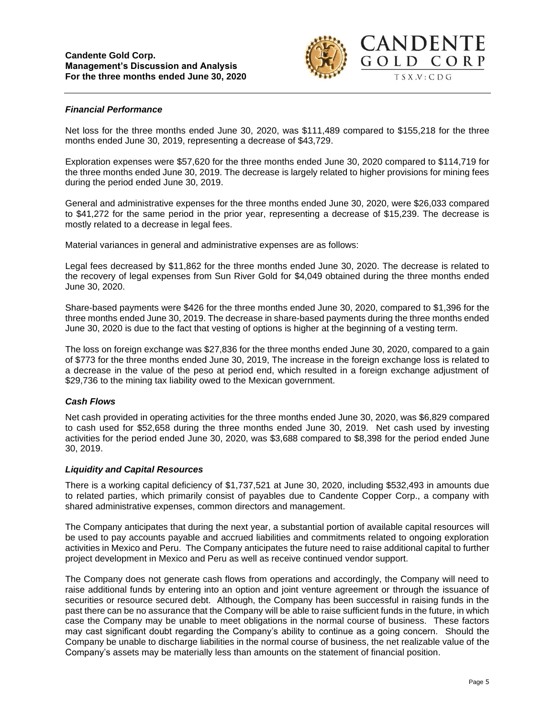

## *Financial Performance*

Net loss for the three months ended June 30, 2020, was \$111,489 compared to \$155,218 for the three months ended June 30, 2019, representing a decrease of \$43,729.

Exploration expenses were \$57,620 for the three months ended June 30, 2020 compared to \$114,719 for the three months ended June 30, 2019. The decrease is largely related to higher provisions for mining fees during the period ended June 30, 2019.

General and administrative expenses for the three months ended June 30, 2020, were \$26,033 compared to \$41,272 for the same period in the prior year, representing a decrease of \$15,239. The decrease is mostly related to a decrease in legal fees.

Material variances in general and administrative expenses are as follows:

Legal fees decreased by \$11,862 for the three months ended June 30, 2020. The decrease is related to the recovery of legal expenses from Sun River Gold for \$4,049 obtained during the three months ended June 30, 2020.

Share-based payments were \$426 for the three months ended June 30, 2020, compared to \$1,396 for the three months ended June 30, 2019. The decrease in share-based payments during the three months ended June 30, 2020 is due to the fact that vesting of options is higher at the beginning of a vesting term.

The loss on foreign exchange was \$27,836 for the three months ended June 30, 2020, compared to a gain of \$773 for the three months ended June 30, 2019, The increase in the foreign exchange loss is related to a decrease in the value of the peso at period end, which resulted in a foreign exchange adjustment of \$29,736 to the mining tax liability owed to the Mexican government.

### *Cash Flows*

Net cash provided in operating activities for the three months ended June 30, 2020, was \$6,829 compared to cash used for \$52,658 during the three months ended June 30, 2019. Net cash used by investing activities for the period ended June 30, 2020, was \$3,688 compared to \$8,398 for the period ended June 30, 2019.

### *Liquidity and Capital Resources*

There is a working capital deficiency of \$1,737,521 at June 30, 2020, including \$532,493 in amounts due to related parties, which primarily consist of payables due to Candente Copper Corp., a company with shared administrative expenses, common directors and management.

The Company anticipates that during the next year, a substantial portion of available capital resources will be used to pay accounts payable and accrued liabilities and commitments related to ongoing exploration activities in Mexico and Peru. The Company anticipates the future need to raise additional capital to further project development in Mexico and Peru as well as receive continued vendor support.

The Company does not generate cash flows from operations and accordingly, the Company will need to raise additional funds by entering into an option and joint venture agreement or through the issuance of securities or resource secured debt. Although, the Company has been successful in raising funds in the past there can be no assurance that the Company will be able to raise sufficient funds in the future, in which case the Company may be unable to meet obligations in the normal course of business. These factors may cast significant doubt regarding the Company's ability to continue as a going concern. Should the Company be unable to discharge liabilities in the normal course of business, the net realizable value of the Company's assets may be materially less than amounts on the statement of financial position.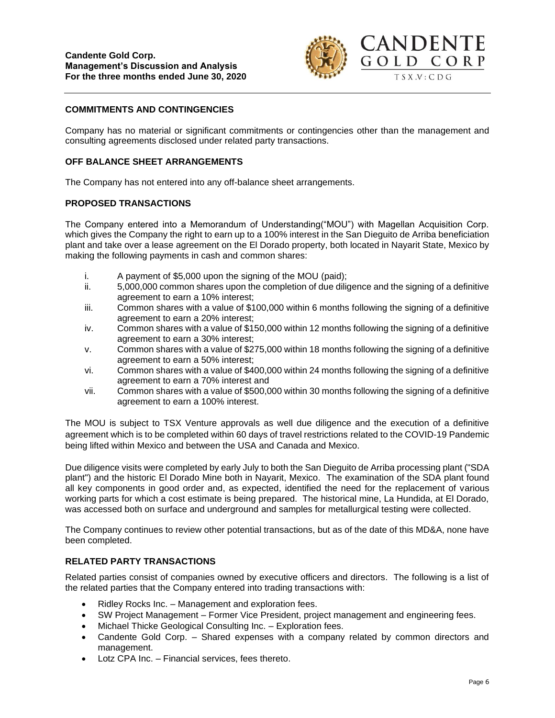

# **COMMITMENTS AND CONTINGENCIES**

Company has no material or significant commitments or contingencies other than the management and consulting agreements disclosed under related party transactions.

## **OFF BALANCE SHEET ARRANGEMENTS**

The Company has not entered into any off-balance sheet arrangements.

### **PROPOSED TRANSACTIONS**

The Company entered into a Memorandum of Understanding("MOU") with Magellan Acquisition Corp. which gives the Company the right to earn up to a 100% interest in the San Dieguito de Arriba beneficiation plant and take over a lease agreement on the El Dorado property, both located in Nayarit State, Mexico by making the following payments in cash and common shares:

- i. A payment of \$5,000 upon the signing of the MOU (paid);
- ii. 5,000,000 common shares upon the completion of due diligence and the signing of a definitive agreement to earn a 10% interest;
- iii. Common shares with a value of \$100,000 within 6 months following the signing of a definitive agreement to earn a 20% interest;
- iv. Common shares with a value of \$150,000 within 12 months following the signing of a definitive agreement to earn a 30% interest;
- v. Common shares with a value of \$275,000 within 18 months following the signing of a definitive agreement to earn a 50% interest;
- vi. Common shares with a value of \$400,000 within 24 months following the signing of a definitive agreement to earn a 70% interest and
- vii. Common shares with a value of \$500,000 within 30 months following the signing of a definitive agreement to earn a 100% interest.

The MOU is subject to TSX Venture approvals as well due diligence and the execution of a definitive agreement which is to be completed within 60 days of travel restrictions related to the COVID-19 Pandemic being lifted within Mexico and between the USA and Canada and Mexico.

Due diligence visits were completed by early July to both the San Dieguito de Arriba processing plant ("SDA plant") and the historic El Dorado Mine both in Nayarit, Mexico. The examination of the SDA plant found all key components in good order and, as expected, identified the need for the replacement of various working parts for which a cost estimate is being prepared. The historical mine, La Hundida, at El Dorado, was accessed both on surface and underground and samples for metallurgical testing were collected.

The Company continues to review other potential transactions, but as of the date of this MD&A, none have been completed.

### **RELATED PARTY TRANSACTIONS**

Related parties consist of companies owned by executive officers and directors. The following is a list of the related parties that the Company entered into trading transactions with:

- Ridley Rocks Inc. Management and exploration fees.
- SW Project Management Former Vice President, project management and engineering fees.
- Michael Thicke Geological Consulting Inc. Exploration fees.
- Candente Gold Corp. Shared expenses with a company related by common directors and management.
- Lotz CPA Inc. Financial services, fees thereto.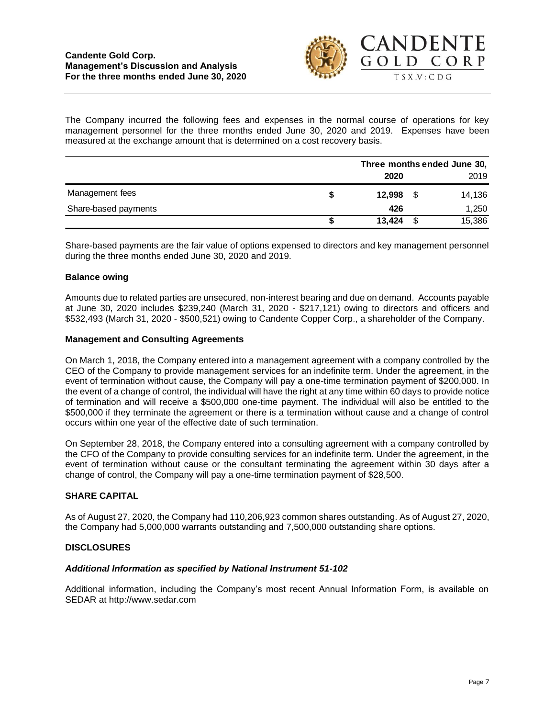

The Company incurred the following fees and expenses in the normal course of operations for key management personnel for the three months ended June 30, 2020 and 2019. Expenses have been measured at the exchange amount that is determined on a cost recovery basis.

|                      | Three months ended June 30, |    |        |
|----------------------|-----------------------------|----|--------|
|                      | 2020                        |    | 2019   |
| Management fees      | 12.998                      | \$ | 14,136 |
| Share-based payments | 426                         |    | 1,250  |
|                      | 13,424                      |    | 15,386 |

Share-based payments are the fair value of options expensed to directors and key management personnel during the three months ended June 30, 2020 and 2019.

#### **Balance owing**

Amounts due to related parties are unsecured, non-interest bearing and due on demand. Accounts payable at June 30, 2020 includes \$239,240 (March 31, 2020 - \$217,121) owing to directors and officers and \$532,493 (March 31, 2020 - \$500,521) owing to Candente Copper Corp., a shareholder of the Company.

#### **Management and Consulting Agreements**

On March 1, 2018, the Company entered into a management agreement with a company controlled by the CEO of the Company to provide management services for an indefinite term. Under the agreement, in the event of termination without cause, the Company will pay a one-time termination payment of \$200,000. In the event of a change of control, the individual will have the right at any time within 60 days to provide notice of termination and will receive a \$500,000 one-time payment. The individual will also be entitled to the \$500,000 if they terminate the agreement or there is a termination without cause and a change of control occurs within one year of the effective date of such termination.

On September 28, 2018, the Company entered into a consulting agreement with a company controlled by the CFO of the Company to provide consulting services for an indefinite term. Under the agreement, in the event of termination without cause or the consultant terminating the agreement within 30 days after a change of control, the Company will pay a one-time termination payment of \$28,500.

### **SHARE CAPITAL**

As of August 27, 2020, the Company had 110,206,923 common shares outstanding. As of August 27, 2020, the Company had 5,000,000 warrants outstanding and 7,500,000 outstanding share options.

#### **DISCLOSURES**

# *Additional Information as specified by National Instrument 51-102*

Additional information, including the Company's most recent Annual Information Form, is available on SEDAR at [http://www.sedar.com](http://www.sedar.com/)